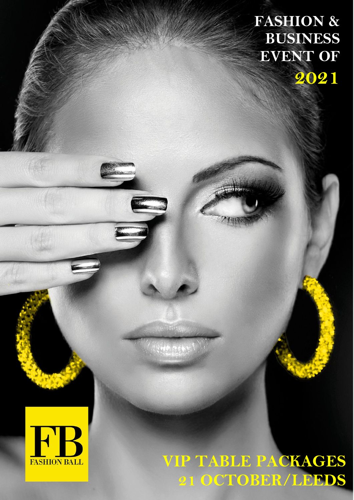## **FASHION & BUSINESS EVENT OF 2021**

# **VIP TABLE PACKAGES 21 OCTOBER/LEEDS**

 $\mathcal{L}$  , where  $\mathcal{L}$ 



**ARTICO**